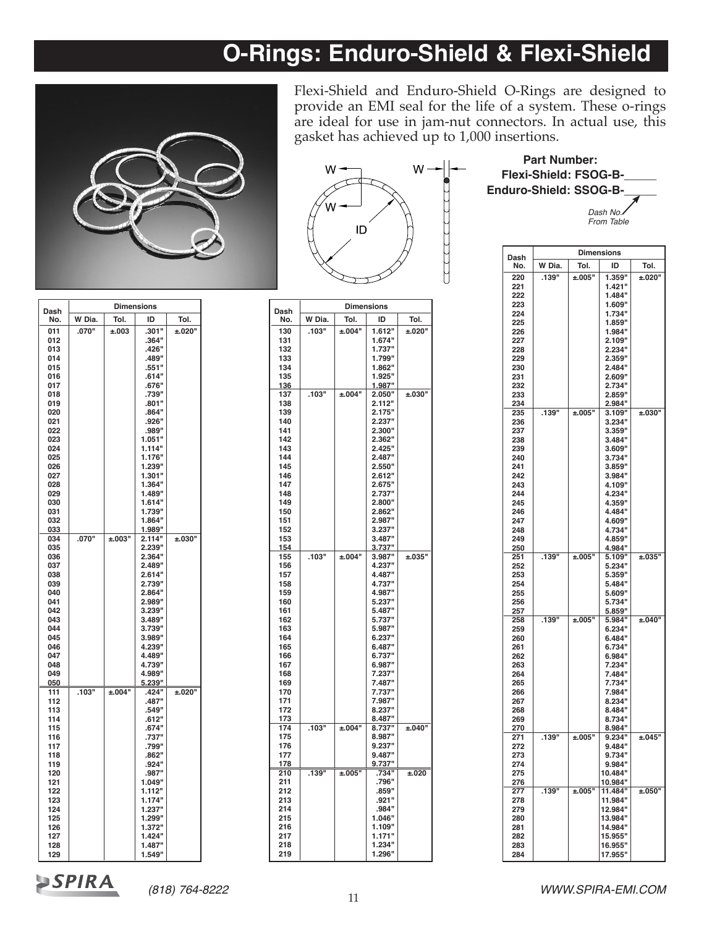# **O-Rings: Enduro-Shield & Flexi-Shield**



Flexi-Shield and Enduro-Shield O-Rings are designed to provide an EMI seal for the life of a system. These o-rings are ideal for use in jam-nut connectors. In actual use, this gasket has achieved up to 1,000 insertions.



*Dash No. From Table*  **Part Number: Flexi-Shield: FSOG-B-\_\_\_\_\_ Enduro-Shield: SSOG-B-\_\_\_\_\_**

| Dash       | <b>Dimensions</b> |            |        |        |  |
|------------|-------------------|------------|--------|--------|--|
| No.        | W Dia.            | Tol.       | ID     | Tol.   |  |
| 011        | .070"             | ±.003      | .301"  | ±.020" |  |
| 012        |                   |            | .364"  |        |  |
| 013        |                   |            | .426"  |        |  |
| 014        |                   |            | .489"  |        |  |
| 015        |                   |            | .551"  |        |  |
| 016        |                   |            | .614"  |        |  |
| 017        |                   |            | .676"  |        |  |
| 018        |                   |            | .739"  |        |  |
| 019        |                   |            | .801"  |        |  |
| 020        |                   |            | .864"  |        |  |
| 021        |                   |            | .926"  |        |  |
| 022        |                   |            | .989"  |        |  |
| 023        |                   |            | 1.051" |        |  |
| 024        |                   |            | 1.114" |        |  |
| 025        |                   |            | 1.176" |        |  |
| 026        |                   |            | 1.239" |        |  |
| 027        |                   |            | 1.301" |        |  |
| 028        |                   |            | 1.364" |        |  |
| 029        |                   |            | 1.489" |        |  |
| 030        |                   |            | 1.614" |        |  |
| 031        |                   |            | 1.739" |        |  |
| 032        |                   |            | 1.864" |        |  |
| 033        |                   |            | 1.989" |        |  |
| 034        | .070"             | ±.003"     | 2.114" | ±.030" |  |
| 035        |                   |            | 2.239" |        |  |
| 036        |                   |            | 2.364" |        |  |
| 037        |                   |            | 2.489" |        |  |
| 038        |                   |            | 2.614" |        |  |
| 039        |                   |            | 2.739" |        |  |
| 040        |                   |            | 2.864" |        |  |
| 041        |                   |            | 2.989" |        |  |
| 042        |                   |            | 3.239" |        |  |
| 043        |                   |            | 3.489" |        |  |
| 044        |                   |            | 3.739" |        |  |
| 045        |                   |            | 3.989" |        |  |
| 046        |                   |            | 4.239" |        |  |
| 047        |                   |            | 4.489" |        |  |
| 048        |                   |            | 4.739" |        |  |
| 049        |                   |            | 4.989" |        |  |
| <u>050</u> |                   |            | 5.239" |        |  |
| 111        | .103"             | $\pm 0.04$ | .424"  | ±.020" |  |
| 112        |                   |            | .487"  |        |  |
| 113        |                   |            | .549"  |        |  |
| 114        |                   |            | .612"  |        |  |
| 115        |                   |            | .674"  |        |  |
| 116        |                   |            | .737"  |        |  |
| 117        |                   |            | .799"  |        |  |
| 118        |                   |            | .862"  |        |  |
| 119        |                   |            | .924"  |        |  |
| 120        |                   |            | .987"  |        |  |
| 121        |                   |            | 1.049" |        |  |
| 122        |                   |            | 1.112" |        |  |
| 123        |                   |            | 1.174" |        |  |
| 124        |                   |            | 1.237" |        |  |
| 125        |                   |            | 1.299" |        |  |
| 126        |                   |            | 1.372" |        |  |
| 127        |                   |            | 1.424" |        |  |
| 128        |                   |            | 1.487" |        |  |

| Dash       | Dimensions |             |                  |        |  |
|------------|------------|-------------|------------------|--------|--|
| No.        | W Dia.     | Tol.        | ID               | Tol.   |  |
| 130        | .103"      | ±.004"      | 1.612"           | ±.020" |  |
| 131        |            |             | 1.674"           |        |  |
| 132        |            |             | 1.737"           |        |  |
| 133        |            |             | 1.799"           |        |  |
| 134        |            |             | 1.862"           |        |  |
| 135        |            |             | 1.925"           |        |  |
| 136        |            |             | 1.987"           |        |  |
| 137        | .103"      | ±.004"      | 2.050"           | ±.030" |  |
| 138        |            |             | 2.112"           |        |  |
| 139        |            |             | 2.175"           |        |  |
| 140        |            |             | 2.237"           |        |  |
| 141        |            |             | 2.300"           |        |  |
| 142        |            |             | 2.362"           |        |  |
| 143        |            |             | 2.425"           |        |  |
| 144        |            |             | 2.487"           |        |  |
| 145        |            |             | 2.550"           |        |  |
| 146        |            |             | 2.612"           |        |  |
| 147        |            |             | 2.675"           |        |  |
| 148        |            |             | 2.737"           |        |  |
| 149        |            |             | 2.800"<br>2.862" |        |  |
| 150<br>151 |            |             | 2.987"           |        |  |
| 152        |            |             | 3.237"           |        |  |
| 153        |            |             | 3.487"           |        |  |
| 154        |            |             | 3.737"           |        |  |
| 155        | .103"      | ±.004"      | 3.987"           | ±.035" |  |
| 156        |            |             | 4.237"           |        |  |
| 157        |            |             | 4.487"           |        |  |
| 158        |            |             | 4.737"           |        |  |
| 159        |            |             | 4.987"           |        |  |
| 160        |            |             | 5.237"           |        |  |
| 161        |            |             | 5.487"           |        |  |
| 162        |            |             | 5.737"           |        |  |
| 163        |            |             | 5.987"           |        |  |
| 164        |            |             | 6.237"           |        |  |
| 165        |            |             | 6.487"           |        |  |
| 166        |            |             | 6.737"           |        |  |
| 167        |            |             | 6.987"           |        |  |
| 168        |            |             | 7.237"           |        |  |
| 169        |            |             | 7.487"           |        |  |
| 170        |            |             | 7.737"           |        |  |
| 171        |            |             | 7.987"           |        |  |
| 172        |            |             | 8.237"           |        |  |
| 173        |            |             | 8.487"           |        |  |
| 174        | .103"      | ±.004"      | 8.737"           | ±.040" |  |
| 175        |            |             | 8.987"           |        |  |
| 176<br>177 |            |             | 9.237"<br>9.487" |        |  |
| 178        |            |             | 9.737"           |        |  |
| 210        | .139"      | $\pm 0.005$ | .734"            | ±.020  |  |
| 211        |            |             | .796"            |        |  |
| 212        |            |             | .859"            |        |  |
| 213        |            |             | .921"            |        |  |
| 214        |            |             | .984"            |        |  |
| 215        |            |             | 1.046"           |        |  |
| 216        |            |             | 1.109"           |        |  |
| 217        |            |             | 1.171"           |        |  |
| 218        |            |             | 1.234"           |        |  |
| 219        |            |             | 1.296"           |        |  |
|            |            |             |                  |        |  |

|            |                     |                      | From Table         |        |  |
|------------|---------------------|----------------------|--------------------|--------|--|
| Dash       | <b>Dimensions</b>   |                      |                    |        |  |
| No.        | W Dia.              | Tol.                 | ID                 | Tol.   |  |
| 220        | .139"               | ±.005"               | 1.359"             | ±.020" |  |
| 221        |                     |                      | 1.421"             |        |  |
| 222<br>223 |                     |                      | 1.484"<br>1.609"   |        |  |
| 224        |                     |                      | 1.734"             |        |  |
| 225        |                     |                      | 1.859"             |        |  |
| 226        |                     |                      | 1.984"             |        |  |
| 227<br>228 |                     |                      | 2.109"<br>2.234"   |        |  |
| 229        |                     |                      | 2.359"             |        |  |
| 230        |                     |                      | 2.484"             |        |  |
| 231        |                     |                      | 2.609"             |        |  |
| 232        |                     |                      | 2.734"             |        |  |
| 233<br>234 |                     |                      | 2.859"<br>2.984"   |        |  |
| 235        | .139"               | $±.005$ <sup>"</sup> | 3.109"             | ±.030" |  |
| 236        |                     |                      | 3.234"             |        |  |
| 237        |                     |                      | 3.359"             |        |  |
| 238<br>239 |                     |                      | 3.484"<br>3.609"   |        |  |
| 240        |                     |                      | 3.734"             |        |  |
| 241        |                     |                      | 3.859"             |        |  |
| 242        |                     |                      | 3.984"             |        |  |
| 243<br>244 |                     |                      | 4.109"             |        |  |
| 245        |                     |                      | 4.234"<br>4.359"   |        |  |
| 246        |                     |                      | 4.484"             |        |  |
| 247        |                     |                      | 4.609"             |        |  |
| 248        |                     |                      | 4.734"             |        |  |
| 249<br>250 |                     |                      | 4.859"<br>4.984"   |        |  |
| 251        | .139"               | ±.005"               | 5.109"             | ±.035" |  |
| 252        |                     |                      | 5.234"             |        |  |
| 253        |                     |                      | 5.359"             |        |  |
| 254<br>255 |                     |                      | 5.484"<br>5.609"   |        |  |
| 256        |                     |                      | 5.734"             |        |  |
| 257        |                     |                      | 5.859"             |        |  |
| 258        | $.139$ <sup>"</sup> | ±.005"               | 5.984              | ±.040" |  |
| 259<br>260 |                     |                      | 6.234"<br>6.484"   |        |  |
| 261        |                     |                      | 6.734"             |        |  |
| 262        |                     |                      | 6.984"             |        |  |
| 263        |                     |                      | 7.234"             |        |  |
| 264<br>265 |                     |                      | 7.484"<br>7.734"   |        |  |
| 266        |                     |                      | 7.984"             |        |  |
| 267        |                     |                      | 8.234"             |        |  |
| 268        |                     |                      | 8.484"             |        |  |
| 269<br>270 |                     |                      | 8.734"<br>8.984"   |        |  |
| 271        | .139"               | ±.005"               | 9.234              | ±.045" |  |
| 272        |                     |                      | 9.484              |        |  |
| 273        |                     |                      | 9.734"             |        |  |
| 274        |                     |                      | 9.984"<br>10.484"  |        |  |
| 275<br>276 |                     |                      | 10.984"            |        |  |
| 277        | .139"               | $\pm 005$            | 11.484"            | ±.050" |  |
| 278        |                     |                      | 11.984"            |        |  |
| 279        |                     |                      | 12.984"            |        |  |
| 280<br>281 |                     |                      | 13.984"<br>14.984" |        |  |
| 282        |                     |                      | 15.955"            |        |  |
| 283        |                     |                      | 16.955"            |        |  |
| 284        |                     |                      | 17.955"            |        |  |

**SPIRA** 

**129 1.549"**